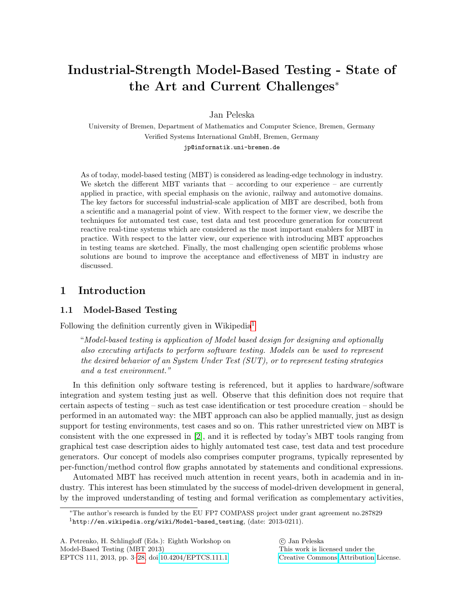# Industrial-Strength Model-Based Testing - State of the Art and Current Challenges<sup>∗</sup>

Jan Peleska

University of Bremen, Department of Mathematics and Computer Science, Bremen, Germany Verified Systems International GmbH, Bremen, Germany jp@informatik.uni-bremen.de

As of today, model-based testing (MBT) is considered as leading-edge technology in industry. We sketch the different MBT variants that  $-$  according to our experience  $-$  are currently applied in practice, with special emphasis on the avionic, railway and automotive domains. The key factors for successful industrial-scale application of MBT are described, both from a scientific and a managerial point of view. With respect to the former view, we describe the techniques for automated test case, test data and test procedure generation for concurrent reactive real-time systems which are considered as the most important enablers for MBT in practice. With respect to the latter view, our experience with introducing MBT approaches in testing teams are sketched. Finally, the most challenging open scientific problems whose solutions are bound to improve the acceptance and effectiveness of MBT in industry are discussed.

# 1 Introduction

#### 1.1 Model-Based Testing

Following the definition currently given in Wikipedia[1](#page-0-0)

"Model-based testing is application of Model based design for designing and optionally also executing artifacts to perform software testing. Models can be used to represent the desired behavior of an System Under Test (SUT), or to represent testing strategies and a test environment."

In this definition only software testing is referenced, but it applies to hardware/software integration and system testing just as well. Observe that this definition does not require that certain aspects of testing – such as test case identification or test procedure creation – should be performed in an automated way: the MBT approach can also be applied manually, just as design support for testing environments, test cases and so on. This rather unrestricted view on MBT is consistent with the one expressed in [\[2\]](#page-18-0), and it is reflected by today's MBT tools ranging from graphical test case description aides to highly automated test case, test data and test procedure generators. Our concept of models also comprises computer programs, typically represented by per-function/method control flow graphs annotated by statements and conditional expressions.

Automated MBT has received much attention in recent years, both in academia and in industry. This interest has been stimulated by the success of model-driven development in general, by the improved understanding of testing and formal verification as complementary activities,

 c Jan Peleska This work is licensed under the [Creative Commons](http://creativecommons.org) [Attribution](http://creativecommons.org/licenses/by/3.0/) License.

<span id="page-0-0"></span><sup>∗</sup>The author's research is funded by the EU FP7 COMPASS project under grant agreement no.287829  $1$ http://en.wikipedia.org/wiki/Model-based\_testing, (date: 2013-0211).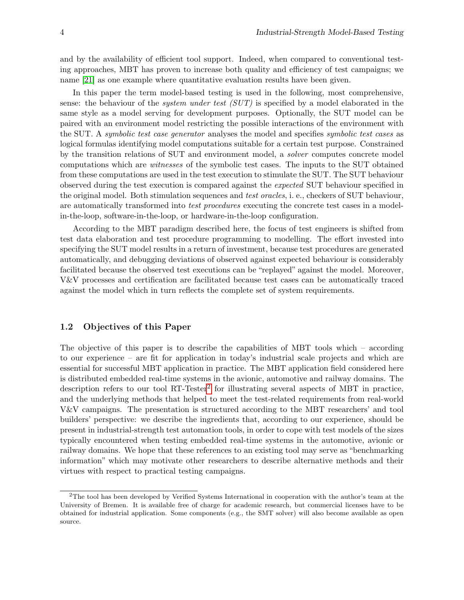and by the availability of efficient tool support. Indeed, when compared to conventional testing approaches, MBT has proven to increase both quality and efficiency of test campaigns; we name [\[21\]](#page-19-0) as one example where quantitative evaluation results have been given.

In this paper the term model-based testing is used in the following, most comprehensive, sense: the behaviour of the *system under test (SUT)* is specified by a model elaborated in the same style as a model serving for development purposes. Optionally, the SUT model can be paired with an environment model restricting the possible interactions of the environment with the SUT. A *symbolic test case generator* analyses the model and specifies *symbolic test cases* as logical formulas identifying model computations suitable for a certain test purpose. Constrained by the transition relations of SUT and environment model, a solver computes concrete model computations which are witnesses of the symbolic test cases. The inputs to the SUT obtained from these computations are used in the test execution to stimulate the SUT. The SUT behaviour observed during the test execution is compared against the expected SUT behaviour specified in the original model. Both stimulation sequences and *test oracles*, i. e., checkers of SUT behaviour, are automatically transformed into test procedures executing the concrete test cases in a modelin-the-loop, software-in-the-loop, or hardware-in-the-loop configuration.

According to the MBT paradigm described here, the focus of test engineers is shifted from test data elaboration and test procedure programming to modelling. The effort invested into specifying the SUT model results in a return of investment, because test procedures are generated automatically, and debugging deviations of observed against expected behaviour is considerably facilitated because the observed test executions can be "replayed" against the model. Moreover, V&V processes and certification are facilitated because test cases can be automatically traced against the model which in turn reflects the complete set of system requirements.

#### 1.2 Objectives of this Paper

The objective of this paper is to describe the capabilities of MBT tools which – according to our experience – are fit for application in today's industrial scale projects and which are essential for successful MBT application in practice. The MBT application field considered here is distributed embedded real-time systems in the avionic, automotive and railway domains. The description refers to our tool RT-Tester<sup>[2](#page-1-0)</sup> for illustrating several aspects of MBT in practice, and the underlying methods that helped to meet the test-related requirements from real-world V&V campaigns. The presentation is structured according to the MBT researchers' and tool builders' perspective: we describe the ingredients that, according to our experience, should be present in industrial-strength test automation tools, in order to cope with test models of the sizes typically encountered when testing embedded real-time systems in the automotive, avionic or railway domains. We hope that these references to an existing tool may serve as "benchmarking information" which may motivate other researchers to describe alternative methods and their virtues with respect to practical testing campaigns.

<span id="page-1-0"></span><sup>2</sup>The tool has been developed by Verified Systems International in cooperation with the author's team at the University of Bremen. It is available free of charge for academic research, but commercial licenses have to be obtained for industrial application. Some components (e.g., the SMT solver) will also become available as open source.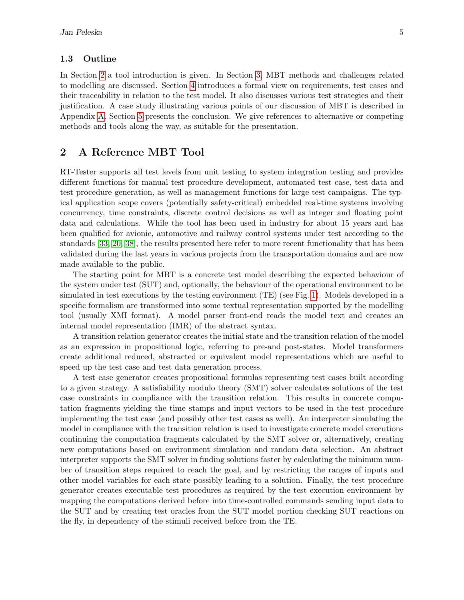#### 1.3 Outline

In Section [2](#page-2-0) a tool introduction is given. In Section [3,](#page-3-0) MBT methods and challenges related to modelling are discussed. Section [4](#page-9-0) introduces a formal view on requirements, test cases and their traceability in relation to the test model. It also discusses various test strategies and their justification. A case study illustrating various points of our discussion of MBT is described in Appendix [A.](#page-20-0) Section [5](#page-17-0) presents the conclusion. We give references to alternative or competing methods and tools along the way, as suitable for the presentation.

### <span id="page-2-0"></span>2 A Reference MBT Tool

RT-Tester supports all test levels from unit testing to system integration testing and provides different functions for manual test procedure development, automated test case, test data and test procedure generation, as well as management functions for large test campaigns. The typical application scope covers (potentially safety-critical) embedded real-time systems involving concurrency, time constraints, discrete control decisions as well as integer and floating point data and calculations. While the tool has been used in industry for about 15 years and has been qualified for avionic, automotive and railway control systems under test according to the standards [\[33,](#page-19-1) [20,](#page-19-2) [38\]](#page-20-1), the results presented here refer to more recent functionality that has been validated during the last years in various projects from the transportation domains and are now made available to the public.

The starting point for MBT is a concrete test model describing the expected behaviour of the system under test (SUT) and, optionally, the behaviour of the operational environment to be simulated in test executions by the testing environment (TE) (see Fig. [1\)](#page-3-1). Models developed in a specific formalism are transformed into some textual representation supported by the modelling tool (usually XMI format). A model parser front-end reads the model text and creates an internal model representation (IMR) of the abstract syntax.

A transition relation generator creates the initial state and the transition relation of the model as an expression in propositional logic, referring to pre-and post-states. Model transformers create additional reduced, abstracted or equivalent model representations which are useful to speed up the test case and test data generation process.

A test case generator creates propositional formulas representing test cases built according to a given strategy. A satisfiability modulo theory (SMT) solver calculates solutions of the test case constraints in compliance with the transition relation. This results in concrete computation fragments yielding the time stamps and input vectors to be used in the test procedure implementing the test case (and possibly other test cases as well). An interpreter simulating the model in compliance with the transition relation is used to investigate concrete model executions continuing the computation fragments calculated by the SMT solver or, alternatively, creating new computations based on environment simulation and random data selection. An abstract interpreter supports the SMT solver in finding solutions faster by calculating the minimum number of transition steps required to reach the goal, and by restricting the ranges of inputs and other model variables for each state possibly leading to a solution. Finally, the test procedure generator creates executable test procedures as required by the test execution environment by mapping the computations derived before into time-controlled commands sending input data to the SUT and by creating test oracles from the SUT model portion checking SUT reactions on the fly, in dependency of the stimuli received before from the TE.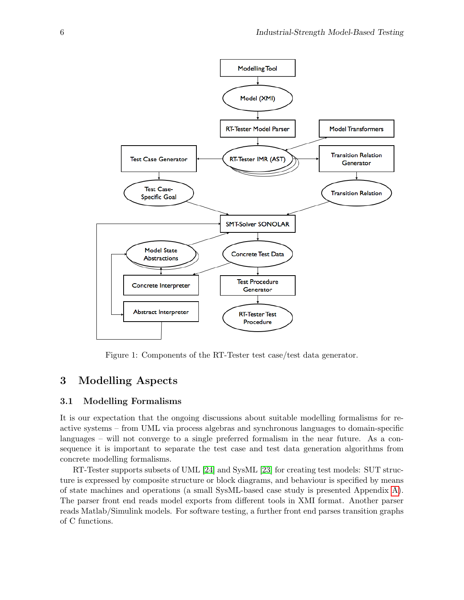

<span id="page-3-1"></span>Figure 1: Components of the RT-Tester test case/test data generator.

# <span id="page-3-0"></span>3 Modelling Aspects

#### 3.1 Modelling Formalisms

It is our expectation that the ongoing discussions about suitable modelling formalisms for reactive systems – from UML via process algebras and synchronous languages to domain-specific languages – will not converge to a single preferred formalism in the near future. As a consequence it is important to separate the test case and test data generation algorithms from concrete modelling formalisms.

RT-Tester supports subsets of UML [\[24\]](#page-19-3) and SysML [\[23\]](#page-19-4) for creating test models: SUT structure is expressed by composite structure or block diagrams, and behaviour is specified by means of state machines and operations (a small SysML-based case study is presented Appendix [A\)](#page-20-0). The parser front end reads model exports from different tools in XMI format. Another parser reads Matlab/Simulink models. For software testing, a further front end parses transition graphs of C functions.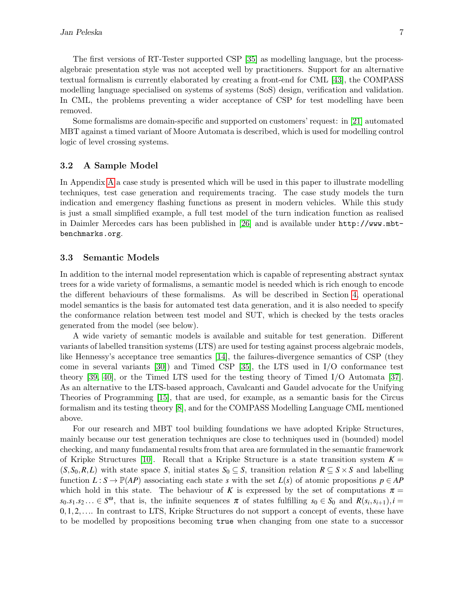The first versions of RT-Tester supported CSP [\[35\]](#page-20-2) as modelling language, but the processalgebraic presentation style was not accepted well by practitioners. Support for an alternative textual formalism is currently elaborated by creating a front-end for CML [\[43\]](#page-20-3), the COMPASS modelling language specialised on systems of systems (SoS) design, verification and validation. In CML, the problems preventing a wider acceptance of CSP for test modelling have been removed.

Some formalisms are domain-specific and supported on customers' request: in [\[21\]](#page-19-0) automated MBT against a timed variant of Moore Automata is described, which is used for modelling control logic of level crossing systems.

#### 3.2 A Sample Model

In Appendix [A](#page-20-0) a case study is presented which will be used in this paper to illustrate modelling techniques, test case generation and requirements tracing. The case study models the turn indication and emergency flashing functions as present in modern vehicles. While this study is just a small simplified example, a full test model of the turn indication function as realised in Daimler Mercedes cars has been published in [\[26\]](#page-19-5) and is available under http://www.mbtbenchmarks.org.

#### 3.3 Semantic Models

In addition to the internal model representation which is capable of representing abstract syntax trees for a wide variety of formalisms, a semantic model is needed which is rich enough to encode the different behaviours of these formalisms. As will be described in Section [4,](#page-9-0) operational model semantics is the basis for automated test data generation, and it is also needed to specify the conformance relation between test model and SUT, which is checked by the tests oracles generated from the model (see below).

A wide variety of semantic models is available and suitable for test generation. Different variants of labelled transition systems (LTS) are used for testing against process algebraic models, like Hennessy's acceptance tree semantics [\[14\]](#page-18-1), the failures-divergence semantics of CSP (they come in several variants [\[30\]](#page-19-6)) and Timed CSP [\[35\]](#page-20-2), the LTS used in I/O conformance test theory [\[39,](#page-20-4) [40\]](#page-20-5), or the Timed LTS used for the testing theory of Timed I/O Automata [\[37\]](#page-20-6). As an alternative to the LTS-based approach, Cavalcanti and Gaudel advocate for the Unifying Theories of Programming [\[15\]](#page-19-7), that are used, for example, as a semantic basis for the Circus formalism and its testing theory [\[8\]](#page-18-2), and for the COMPASS Modelling Language CML mentioned above.

For our research and MBT tool building foundations we have adopted Kripke Structures, mainly because our test generation techniques are close to techniques used in (bounded) model checking, and many fundamental results from that area are formulated in the semantic framework of Kripke Structures [\[10\]](#page-18-3). Recall that a Kripke Structure is a state transition system  $K =$  $(S, S_0, R, L)$  with state space *S*, initial states  $S_0 \subseteq S$ , transition relation  $R \subseteq S \times S$  and labelling function  $L: S \to \mathbb{P}(AP)$  associating each state *s* with the set  $L(s)$  of atomic propositions  $p \in AP$ which hold in this state. The behaviour of *K* is expressed by the set of computations  $\pi$  $s_0 \cdot s_1 \cdot s_2 \ldots \in S^{\omega}$ , that is, the infinite sequences  $\pi$  of states fulfilling  $s_0 \in S_0$  and  $R(s_i, s_{i+1})$ ,  $i =$  $0,1,2,\ldots$  In contrast to LTS, Kripke Structures do not support a concept of events, these have to be modelled by propositions becoming true when changing from one state to a successor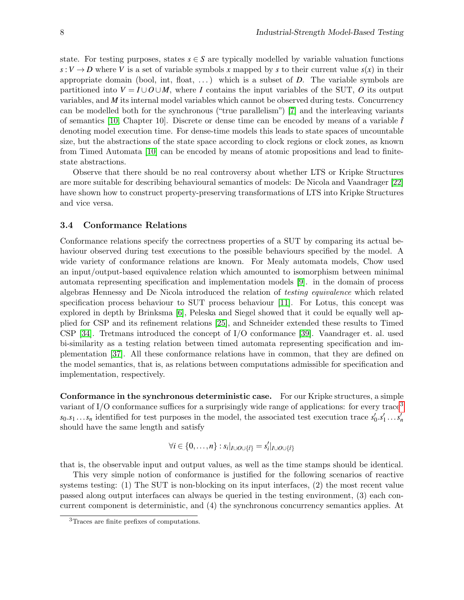state. For testing purposes, states  $s \in S$  are typically modelled by variable valuation functions  $s: V \to D$  where *V* is a set of variable symbols *x* mapped by *s* to their current value  $s(x)$  in their appropriate domain (bool, int, float, . . . ) which is a subset of *D*. The variable symbols are partitioned into  $V = I \cup O \cup M$ , where *I* contains the input variables of the SUT, *O* its output variables, and *M* its internal model variables which cannot be observed during tests. Concurrency can be modelled both for the synchronous ("true parallelism") [\[7\]](#page-18-4) and the interleaving variants of semantics [\[10,](#page-18-3) Chapter 10]. Discrete or dense time can be encoded by means of a variable  $\hat{t}$ denoting model execution time. For dense-time models this leads to state spaces of uncountable size, but the abstractions of the state space according to clock regions or clock zones, as known from Timed Automata [\[10\]](#page-18-3) can be encoded by means of atomic propositions and lead to finitestate abstractions.

Observe that there should be no real controversy about whether LTS or Kripke Structures are more suitable for describing behavioural semantics of models: De Nicola and Vaandrager [\[22\]](#page-19-8) have shown how to construct property-preserving transformations of LTS into Kripke Structures and vice versa.

#### 3.4 Conformance Relations

Conformance relations specify the correctness properties of a SUT by comparing its actual behaviour observed during test executions to the possible behaviours specified by the model. A wide variety of conformance relations are known. For Mealy automata models, Chow used an input/output-based equivalence relation which amounted to isomorphism between minimal automata representing specification and implementation models [\[9\]](#page-18-5). in the domain of process algebras Hennessy and De Nicola introduced the relation of testing equivalence which related specification process behaviour to SUT process behaviour [\[11\]](#page-18-6). For Lotus, this concept was explored in depth by Brinksma [\[6\]](#page-18-7), Peleska and Siegel showed that it could be equally well applied for CSP and its refinement relations [\[25\]](#page-19-9), and Schneider extended these results to Timed CSP [\[34\]](#page-20-7). Tretmans introduced the concept of I/O conformance [\[39\]](#page-20-4). Vaandrager et. al. used bi-similarity as a testing relation between timed automata representing specification and implementation [\[37\]](#page-20-6). All these conformance relations have in common, that they are defined on the model semantics, that is, as relations between computations admissible for specification and implementation, respectively.

Conformance in the synchronous deterministic case. For our Kripke structures, a simple variant of I/O conformance suffices for a surprisingly wide range of applications: for every trace<sup>[3](#page-5-0)</sup>  $s_0.s_1...s_n$  identified for test purposes in the model, the associated test execution trace  $s'_0.s'_1...s'_n$ should have the same length and satisfy

$$
\forall i \in \{0,\ldots,n\} : s_i|_{I \cup O \cup \{\hat{t}\}} = s'_i|_{I \cup O \cup \{\hat{t}\}}
$$

that is, the observable input and output values, as well as the time stamps should be identical.

This very simple notion of conformance is justified for the following scenarios of reactive systems testing: (1) The SUT is non-blocking on its input interfaces, (2) the most recent value passed along output interfaces can always be queried in the testing environment, (3) each concurrent component is deterministic, and (4) the synchronous concurrency semantics applies. At

<span id="page-5-0"></span><sup>3</sup>Traces are finite prefixes of computations.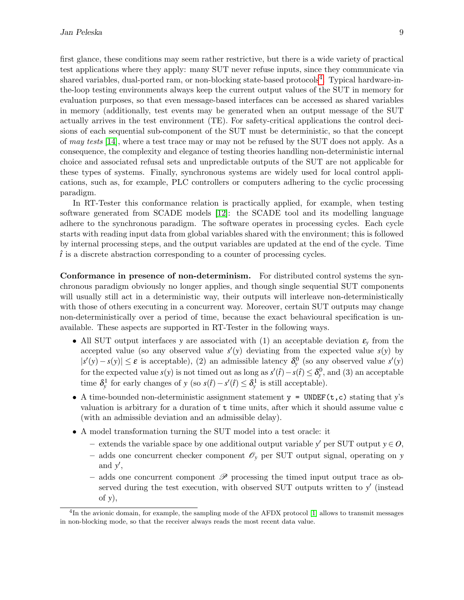first glance, these conditions may seem rather restrictive, but there is a wide variety of practical test applications where they apply: many SUT never refuse inputs, since they communicate via shared variables, dual-ported ram, or non-blocking state-based protocols<sup>[4](#page-6-0)</sup>. Typical hardware-inthe-loop testing environments always keep the current output values of the SUT in memory for evaluation purposes, so that even message-based interfaces can be accessed as shared variables in memory (additionally, test events may be generated when an output message of the SUT actually arrives in the test environment (TE). For safety-critical applications the control decisions of each sequential sub-component of the SUT must be deterministic, so that the concept of may tests [\[14\]](#page-18-1), where a test trace may or may not be refused by the SUT does not apply. As a consequence, the complexity and elegance of testing theories handling non-deterministic internal choice and associated refusal sets and unpredictable outputs of the SUT are not applicable for these types of systems. Finally, synchronous systems are widely used for local control applications, such as, for example, PLC controllers or computers adhering to the cyclic processing paradigm.

In RT-Tester this conformance relation is practically applied, for example, when testing software generated from SCADE models [\[12\]](#page-18-8): the SCADE tool and its modelling language adhere to the synchronous paradigm. The software operates in processing cycles. Each cycle starts with reading input data from global variables shared with the environment; this is followed by internal processing steps, and the output variables are updated at the end of the cycle. Time  $\hat{t}$  is a discrete abstraction corresponding to a counter of processing cycles.

Conformance in presence of non-determinism. For distributed control systems the synchronous paradigm obviously no longer applies, and though single sequential SUT components will usually still act in a deterministic way, their outputs will interleave non-deterministically with those of others executing in a concurrent way. Moreover, certain SUT outputs may change non-deterministically over a period of time, because the exact behavioural specification is unavailable. These aspects are supported in RT-Tester in the following ways.

- All SUT output interfaces *y* are associated with (1) an acceptable deviation  $\varepsilon$ <sub>*y*</sub> from the accepted value (so any observed value  $s'(y)$  deviating from the expected value  $s(y)$  by  $|s'(y) - s(y)|$  ≤ ε is acceptable), (2) an admissible latency  $\delta_y^0$  (so any observed value  $s'(y)$ for the expected value *s*(*y*) is not timed out as long as  $s'(\hat{t}) - s(\hat{t}) \leq \delta_y^0$ , and (3) an acceptable time  $\delta_y^1$  for early changes of *y* (so  $s(\hat{t}) - s'(\hat{t}) \leq \delta_y^1$  is still acceptable).
- A time-bounded non-deterministic assignment statement  $y = UNDER(t, c)$  stating that *y*'s valuation is arbitrary for a duration of t time units, after which it should assume value c (with an admissible deviation and an admissible delay).
- A model transformation turning the SUT model into a test oracle: it
	- − extends the variable space by one additional output variable *y'* per SUT output *y* ∈  $O$ ,
	- adds one concurrent checker component  $\mathscr{O}_y$  per SUT output signal, operating on *y* and y',
	- adds one concurrent component  $\mathscr P$  processing the timed input output trace as observed during the test execution, with observed SUT outputs written to *y'* (instead of *y*),

<span id="page-6-0"></span><sup>&</sup>lt;sup>4</sup>In the avionic domain, for example, the sampling mode of the AFDX protocol [\[1\]](#page-18-9) allows to transmit messages in non-blocking mode, so that the receiver always reads the most recent data value.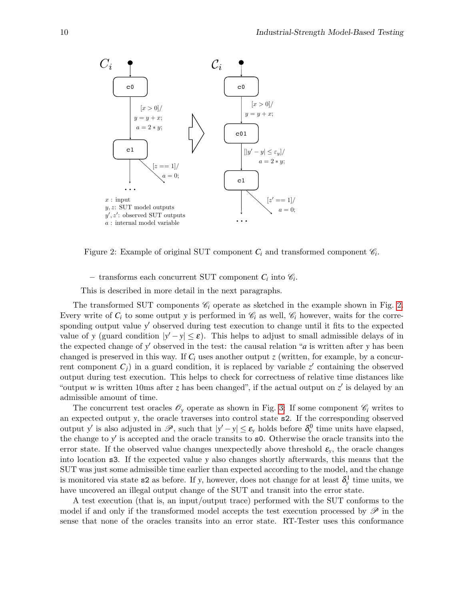

<span id="page-7-0"></span>Figure 2: Example of original SUT component  $C_i$  and transformed component  $\mathcal{C}_i$ .

– transforms each concurrent SUT component  $C_i$  into  $\mathcal{C}_i$ .

This is described in more detail in the next paragraphs.

The transformed SUT components  $\mathcal{C}_i$  operate as sketched in the example shown in Fig. [2.](#page-7-0) Every write of  $C_i$  to some output y is performed in  $\mathcal{C}_i$  as well,  $\mathcal{C}_i$  however, waits for the corresponding output value y' observed during test execution to change until it fits to the expected value of *y* (guard condition  $|y'-y| \le \varepsilon$ ). This helps to adjust to small admissible delays of in the expected change of y' observed in the test: the causal relation "*a* is written after y has been changed is preserved in this way. If  $C_i$  uses another output  $z$  (written, for example, by a concurrent component  $C_j$ ) in a guard condition, it is replaced by variable  $z'$  containing the observed output during test execution. This helps to check for correctness of relative time distances like "output *w* is written 10ms after *z* has been changed", if the actual output on  $z'$  is delayed by an admissible amount of time.

The concurrent test oracles  $\mathscr{O}_y$  operate as shown in Fig. [3:](#page-8-0) If some component  $\mathscr{C}_i$  writes to an expected output *y*, the oracle traverses into control state s2. If the corresponding observed output *y*' is also adjusted in  $\mathscr{P}$ , such that  $|y'-y| \le \varepsilon_y$  holds before  $\delta_y^0$  time units have elapsed, the change to y' is accepted and the oracle transits to s0. Otherwise the oracle transits into the error state. If the observed value changes unexpectedly above threshold  $\varepsilon_{v}$ , the oracle changes into location s3. If the expected value *y* also changes shortly afterwards, this means that the SUT was just some admissible time earlier than expected according to the model, and the change is monitored via state  $s2$  as before. If *y*, however, does not change for at least  $\delta_y^1$  time units, we have uncovered an illegal output change of the SUT and transit into the error state.

A test execution (that is, an input/output trace) performed with the SUT conforms to the model if and only if the transformed model accepts the test execution processed by  $\mathscr P$  in the sense that none of the oracles transits into an error state. RT-Tester uses this conformance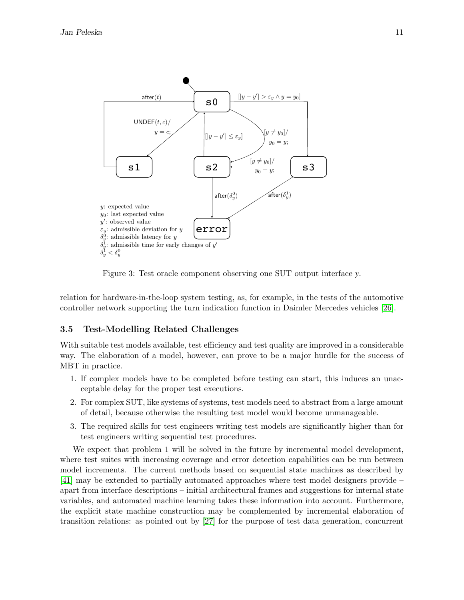

<span id="page-8-0"></span>Figure 3: Test oracle component observing one SUT output interface *y*.

relation for hardware-in-the-loop system testing, as, for example, in the tests of the automotive controller network supporting the turn indication function in Daimler Mercedes vehicles [\[26\]](#page-19-5).

#### 3.5 Test-Modelling Related Challenges

With suitable test models available, test efficiency and test quality are improved in a considerable way. The elaboration of a model, however, can prove to be a major hurdle for the success of MBT in practice.

- 1. If complex models have to be completed before testing can start, this induces an unacceptable delay for the proper test executions.
- 2. For complex SUT, like systems of systems, test models need to abstract from a large amount of detail, because otherwise the resulting test model would become unmanageable.
- 3. The required skills for test engineers writing test models are significantly higher than for test engineers writing sequential test procedures.

We expect that problem 1 will be solved in the future by incremental model development, where test suites with increasing coverage and error detection capabilities can be run between model increments. The current methods based on sequential state machines as described by [\[41\]](#page-20-8) may be extended to partially automated approaches where test model designers provide – apart from interface descriptions – initial architectural frames and suggestions for internal state variables, and automated machine learning takes these information into account. Furthermore, the explicit state machine construction may be complemented by incremental elaboration of transition relations: as pointed out by [\[27\]](#page-19-10) for the purpose of test data generation, concurrent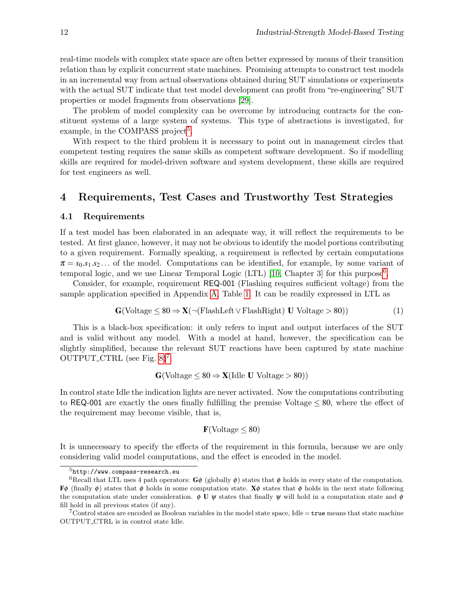real-time models with complex state space are often better expressed by means of their transition relation than by explicit concurrent state machines. Promising attempts to construct test models in an incremental way from actual observations obtained during SUT simulations or experiments with the actual SUT indicate that test model development can profit from "re-engineering" SUT properties or model fragments from observations [\[29\]](#page-19-11).

The problem of model complexity can be overcome by introducing contracts for the constituent systems of a large system of systems. This type of abstractions is investigated, for example, in the COMPASS project<sup>[5](#page-9-1)</sup>.

With respect to the third problem it is necessary to point out in management circles that competent testing requires the same skills as competent software development. So if modelling skills are required for model-driven software and system development, these skills are required for test engineers as well.

### <span id="page-9-0"></span>4 Requirements, Test Cases and Trustworthy Test Strategies

#### 4.1 Requirements

If a test model has been elaborated in an adequate way, it will reflect the requirements to be tested. At first glance, however, it may not be obvious to identify the model portions contributing to a given requirement. Formally speaking, a requirement is reflected by certain computations  $\pi = s_0.s_1.s_2...$  of the model. Computations can be identified, for example, by some variant of temporal logic, and we use Linear Temporal Logic (LTL) [\[10,](#page-18-3) Chapter 3] for this purpose<sup>[6](#page-9-2)</sup>.

Consider, for example, requirement REQ-001 (Flashing requires sufficient voltage) from the sample application specified in Appendix [A,](#page-20-0) Table [1.](#page-21-0) It can be readily expressed in LTL as

$$
G(\text{Voltage} \le 80 \Rightarrow X(\neg(\text{FlashLeft} \lor \text{FlashRight}) \ U \ \text{Voltage} > 80))
$$
 (1)

This is a black-box specification: it only refers to input and output interfaces of the SUT and is valid without any model. With a model at hand, however, the specification can be slightly simplified, because the relevant SUT reactions have been captured by state machine OUTPUT\_CTRL (see Fig.  $8)^7$  $8)^7$ .

$$
G({\rm Voltage}\leq 80 \Rightarrow X({\rm Idle~}U~{\rm Voltage}>80))
$$

In control state Idle the indication lights are never activated. Now the computations contributing to REQ-001 are exactly the ones finally fulfilling the premise Voltage  $\leq 80$ , where the effect of the requirement may become visible, that is,

#### <span id="page-9-4"></span> $\mathbf{F}(\text{Voltage} \leq 80)$

It is unnecessary to specify the effects of the requirement in this formula, because we are only considering valid model computations, and the effect is encoded in the model.

<span id="page-9-2"></span><span id="page-9-1"></span> ${\rm ^5}$ http://www.compass-research.eu

<sup>&</sup>lt;sup>6</sup>Recall that LTL uses 4 path operators:  $\mathbf{G}\phi$  (globally  $\phi$ ) states that  $\phi$  holds in every state of the computation.  $\mathbf{F}\phi$  (finally  $\phi$ ) states that  $\phi$  holds in some computation state.  $\mathbf{X}\phi$  states that  $\phi$  holds in the next state following the computation state under consideration.  $\phi \mathbf{U} \psi$  states that finally  $\psi$  will hold in a computation state and  $\phi$ fill hold in all previous states (if any).

<span id="page-9-3"></span><sup>&</sup>lt;sup>7</sup>Control states are encoded as Boolean variables in the model state space, Idle  $=$  true means that state machine OUTPUT CTRL is in control state Idle.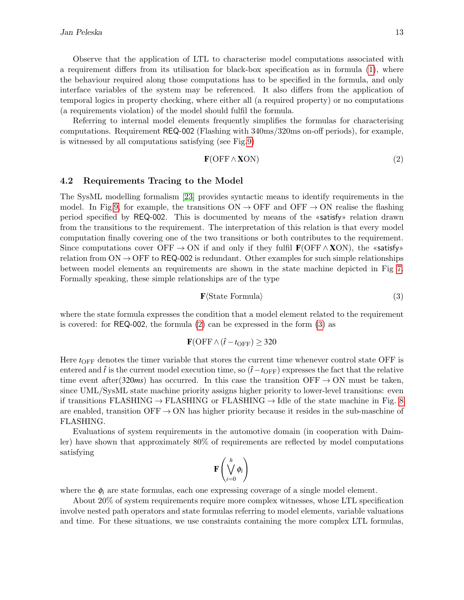Observe that the application of LTL to characterise model computations associated with a requirement differs from its utilisation for black-box specification as in formula [\(1\)](#page-9-4), where the behaviour required along those computations has to be specified in the formula, and only interface variables of the system may be referenced. It also differs from the application of temporal logics in property checking, where either all (a required property) or no computations (a requirements violation) of the model should fulfil the formula.

Referring to internal model elements frequently simplifies the formulas for characterising computations. Requirement REQ-002 (Flashing with 340ms/320ms on-off periods), for example, is witnessed by all computations satisfying (see Fig[.9\)](#page-25-2)

<span id="page-10-0"></span>
$$
\mathbf{F}(\text{OFF} \wedge \mathbf{XON}) \tag{2}
$$

#### 4.2 Requirements Tracing to the Model

The SysML modelling formalism [\[23\]](#page-19-4) provides syntactic means to identify requirements in the model. In Fig[.9,](#page-25-2) for example, the transitions  $ON \rightarrow OFF$  and  $OFF \rightarrow ON$  realise the flashing period specified by REQ-002. This is documented by means of the «satisfy» relation drawn from the transitions to the requirement. The interpretation of this relation is that every model computation finally covering one of the two transitions or both contributes to the requirement. Since computations cover OFF  $\rightarrow$  ON if and only if they fulfil  $\mathbf{F}(\text{OFF} \wedge \mathbf{XON})$ , the «satisfy» relation from  $ON \rightarrow$  OFF to REQ-002 is redundant. Other examples for such simple relationships between model elements an requirements are shown in the state machine depicted in Fig [7.](#page-24-0) Formally speaking, these simple relationships are of the type

<span id="page-10-1"></span>
$$
\mathbf{F}\langle\text{State Formula}\rangle\tag{3}
$$

where the state formula expresses the condition that a model element related to the requirement is covered: for REQ-002, the formula [\(2\)](#page-10-0) can be expressed in the form [\(3\)](#page-10-1) as

$$
\mathbf{F}(\text{OFF} \wedge (\hat{t} - t_{\text{OFF}}) \geq 320
$$

Here  $t_{\text{OFF}}$  denotes the timer variable that stores the current time whenever control state OFF is entered and  $\hat{t}$  is the current model execution time, so  $(\hat{t} − t_{\text{OFF}})$  expresses the fact that the relative time event after(320*ms*) has occurred. In this case the transition OFF  $\rightarrow$  ON must be taken, since UML/SysML state machine priority assigns higher priority to lower-level transitions: even if transitions FLASHING  $\rightarrow$  FLASHING or FLASHING  $\rightarrow$  Idle of the state machine in Fig. [8](#page-25-1) are enabled, transition  $\text{OFF} \rightarrow \text{ON}$  has higher priority because it resides in the sub-maschine of FLASHING.

Evaluations of system requirements in the automotive domain (in cooperation with Daimler) have shown that approximately 80% of requirements are reflected by model computations satisfying

$$
\mathbf{F}\left(\bigvee_{i=0}^h\phi_i\right)
$$

where the  $\phi_i$  are state formulas, each one expressing coverage of a single model element.

About 20% of system requirements require more complex witnesses, whose LTL specification involve nested path operators and state formulas referring to model elements, variable valuations and time. For these situations, we use constraints containing the more complex LTL formulas,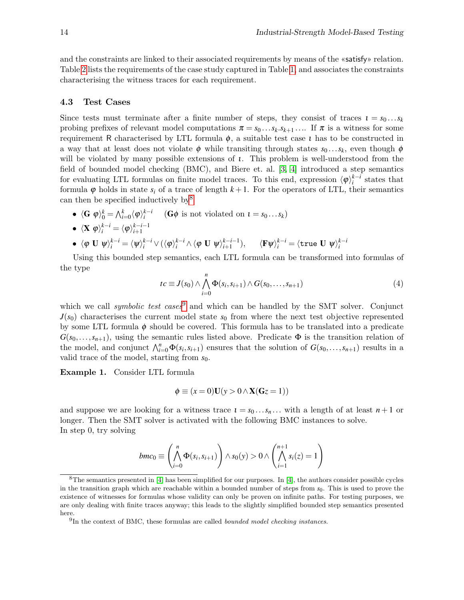and the constraints are linked to their associated requirements by means of the «satisfy» relation. Table [2](#page-24-1) lists the requirements of the case study captured in Table [1,](#page-21-0) and associates the constraints characterising the witness traces for each requirement.

#### 4.3 Test Cases

Since tests must terminate after a finite number of steps, they consist of traces  $i = s_0...s_k$ probing prefixes of relevant model computations  $\pi = s_0 \dots s_k \cdot s_{k+1} \dots$  If  $\pi$  is a witness for some requirement R characterised by LTL formula  $\phi$ , a suitable test case *i* has to be constructed in a way that at least does not violate  $\phi$  while transiting through states  $s_0 \dots s_k$ , even though  $\phi$ will be violated by many possible extensions of  $\iota$ . This problem is well-understood from the field of bounded model checking (BMC), and Biere et. al. [\[3,](#page-18-10) [4\]](#page-18-11) introduced a step semantics for evaluating LTL formulas on finite model traces. To this end, expression  $\langle \varphi \rangle_i^{k-i}$  states that formula  $\varphi$  holds in state  $s_i$  of a trace of length  $k+1$ . For the operators of LTL, their semantics can then be specified inductively by  $8^8$  $8^8$ 

•  $\langle \mathbf{G} \varphi \rangle_0^k = \bigwedge_{i=0}^k \langle \varphi \rangle_i^{k-i}$  ( $\mathbf{G} \varphi$  is not violated on  $\mathbf{u} = s_0 \dots s_k$ )

• 
$$
\langle \mathbf{X} \varphi \rangle_i^{k-i} = \langle \varphi \rangle_{i+1}^{k-i-1}
$$

<span id="page-11-2"></span> $\blacklozenge$  *ζ*φ **U**  $\psi_i^{k-i} = \langle \psi_i \rangle_i^{k-i} \vee (\langle \phi_i \rangle_i^{k-i} \wedge \langle \phi \mathbf{U} \psi_i \rangle_{i+1}^{k-i-1}), \qquad \langle \mathbf{F} \psi_i \rangle_i^{k-i} = \langle \texttt{true } \mathbf{U} \psi_i \rangle_i^{k-i}$ 

Using this bounded step semantics, each LTL formula can be transformed into formulas of the type

$$
tc \equiv J(s_0) \wedge \bigwedge_{i=0}^{n} \Phi(s_i, s_{i+1}) \wedge G(s_0, \dots, s_{n+1})
$$
\n
$$
\tag{4}
$$

which we call *symbolic test cases*<sup>[9](#page-11-1)</sup> and which can be handled by the SMT solver. Conjunct  $J(s_0)$  characterises the current model state  $s_0$  from where the next test objective represented by some LTL formula  $\phi$  should be covered. This formula has to be translated into a predicate  $G(s_0,...,s_{n+1})$ , using the semantic rules listed above. Predicate  $\Phi$  is the transition relation of the model, and conjunct  $\bigwedge_{i=0}^{n} \Phi(s_i, s_{i+1})$  ensures that the solution of  $G(s_0, \ldots, s_{n+1})$  results in a valid trace of the model, starting from *s*0.

Example 1. Consider LTL formula

$$
\phi \equiv (x = 0)\mathbf{U}(y > 0 \wedge \mathbf{X}(\mathbf{G}z = 1))
$$

and suppose we are looking for a witness trace  $i = s_0 \dots s_n \dots$  with a length of at least  $n+1$  or longer. Then the SMT solver is activated with the following BMC instances to solve. In step 0, try solving

$$
bmc_0 \equiv \left(\bigwedge_{i=0}^n \Phi(s_i, s_{i+1})\right) \wedge s_0(y) > 0 \wedge \left(\bigwedge_{i=1}^{n+1} s_i(z) = 1\right)
$$

<span id="page-11-0"></span> $8$ The semantics presented in [\[4\]](#page-18-11) has been simplified for our purposes. In [4], the authors consider possible cycles in the transition graph which are reachable within a bounded number of steps from  $s_0$ . This is used to prove the existence of witnesses for formulas whose validity can only be proven on infinite paths. For testing purposes, we are only dealing with finite traces anyway; this leads to the slightly simplified bounded step semantics presented here.

<span id="page-11-1"></span> $<sup>9</sup>$ In the context of BMC, these formulas are called *bounded model checking instances*.</sup>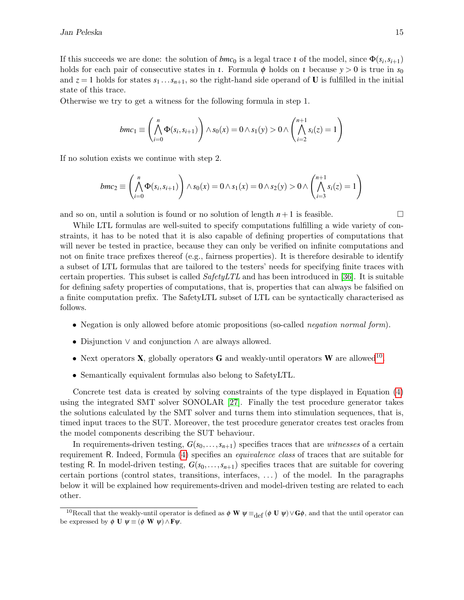If this succeeds we are done: the solution of  $bmc_0$  is a legal trace  $\iota$  of the model, since  $\Phi(s_i, s_{i+1})$ holds for each pair of consecutive states in *ι*. Formula  $\phi$  holds on *ι* because  $y > 0$  is true in  $s_0$ and  $z = 1$  holds for states  $s_1 \ldots s_{n+1}$ , so the right-hand side operand of **U** is fulfilled in the initial state of this trace.

Otherwise we try to get a witness for the following formula in step 1.

$$
bmc_1 \equiv \left(\bigwedge_{i=0}^n \Phi(s_i, s_{i+1})\right) \wedge s_0(x) = 0 \wedge s_1(y) > 0 \wedge \left(\bigwedge_{i=2}^{n+1} s_i(z) = 1\right)
$$

If no solution exists we continue with step 2.

$$
bmc_2 \equiv \left(\bigwedge_{i=0}^n \Phi(s_i, s_{i+1})\right) \wedge s_0(x) = 0 \wedge s_1(x) = 0 \wedge s_2(y) > 0 \wedge \left(\bigwedge_{i=3}^{n+1} s_i(z) = 1\right)
$$

and so on, until a solution is found or no solution of length  $n+1$  is feasible.

While LTL formulas are well-suited to specify computations fulfilling a wide variety of constraints, it has to be noted that it is also capable of defining properties of computations that will never be tested in practice, because they can only be verified on infinite computations and not on finite trace prefixes thereof (e.g., fairness properties). It is therefore desirable to identify a subset of LTL formulas that are tailored to the testers' needs for specifying finite traces with certain properties. This subset is called  $SafetyLTL$  and has been introduced in [\[36\]](#page-20-9). It is suitable for defining safety properties of computations, that is, properties that can always be falsified on a finite computation prefix. The SafetyLTL subset of LTL can be syntactically characterised as follows.

- Negation is only allowed before atomic propositions (so-called *negation normal form*).
- Disjunction ∨ and conjunction ∧ are always allowed.
- Next operators **X**, globally operators **G** and weakly-until operators **W** are allowed<sup>[10](#page-12-0)</sup>.
- Semantically equivalent formulas also belong to SafetyLTL.

Concrete test data is created by solving constraints of the type displayed in Equation [\(4\)](#page-11-2) using the integrated SMT solver SONOLAR [\[27\]](#page-19-10). Finally the test procedure generator takes the solutions calculated by the SMT solver and turns them into stimulation sequences, that is, timed input traces to the SUT. Moreover, the test procedure generator creates test oracles from the model components describing the SUT behaviour.

In requirements-driven testing,  $G(s_0, \ldots, s_{n+1})$  specifies traces that are *witnesses* of a certain requirement R. Indeed, Formula [\(4\)](#page-11-2) specifies an equivalence class of traces that are suitable for testing R. In model-driven testing,  $G(s_0,\ldots,s_{n+1})$  specifies traces that are suitable for covering certain portions (control states, transitions, interfaces, . . . ) of the model. In the paragraphs below it will be explained how requirements-driven and model-driven testing are related to each other.

<span id="page-12-0"></span><sup>&</sup>lt;sup>10</sup>Recall that the weakly-until operator is defined as  $\phi \mathbf{W} \psi \equiv_{\mathrm{def}} (\phi \mathbf{U} \psi) \vee \mathbf{G} \phi$ , and that the until operator can be expressed by  $\phi \mathbf{U} \psi \equiv (\phi \mathbf{W} \psi) \wedge \mathbf{F} \psi$ .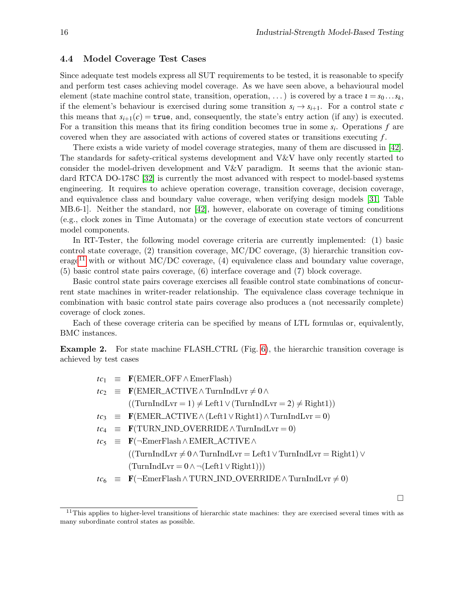$\Box$ 

#### 4.4 Model Coverage Test Cases

Since adequate test models express all SUT requirements to be tested, it is reasonable to specify and perform test cases achieving model coverage. As we have seen above, a behavioural model element (state machine control state, transition, operation, ...) is covered by a trace  $i = s_0 \dots s_k$ , if the element's behaviour is exercised during some transition  $s_i \rightarrow s_{i+1}$ . For a control state *c* this means that  $s_{i+1}(c) = \text{true}$ , and, consequently, the state's entry action (if any) is executed. For a transition this means that its firing condition becomes true in some *s<sup>i</sup>* . Operations *f* are covered when they are associated with actions of covered states or transitions executing *f* .

There exists a wide variety of model coverage strategies, many of them are discussed in [\[42\]](#page-20-10). The standards for safety-critical systems development and V&V have only recently started to consider the model-driven development and V&V paradigm. It seems that the avionic standard RTCA DO-178C [\[32\]](#page-19-12) is currently the most advanced with respect to model-based systems engineering. It requires to achieve operation coverage, transition coverage, decision coverage, and equivalence class and boundary value coverage, when verifying design models [\[31,](#page-19-13) Table MB.6-1]. Neither the standard, nor [\[42\]](#page-20-10), however, elaborate on coverage of timing conditions (e.g., clock zones in Time Automata) or the coverage of execution state vectors of concurrent model components.

In RT-Tester, the following model coverage criteria are currently implemented: (1) basic control state coverage, (2) transition coverage, MC/DC coverage, (3) hierarchic transition cov-erage<sup>[11](#page-13-0)</sup> with or without MC/DC coverage,  $(4)$  equivalence class and boundary value coverage, (5) basic control state pairs coverage, (6) interface coverage and (7) block coverage.

Basic control state pairs coverage exercises all feasible control state combinations of concurrent state machines in writer-reader relationship. The equivalence class coverage technique in combination with basic control state pairs coverage also produces a (not necessarily complete) coverage of clock zones.

Each of these coverage criteria can be specified by means of LTL formulas or, equivalently, BMC instances.

**Example 2.** For state machine FLASH\_CTRL (Fig. [6\)](#page-23-0), the hierarchic transition coverage is achieved by test cases

|  | $tc_1 \equiv \mathbf{F}(\text{EMER\_OFF} \wedge \text{EmerFlash})$                                                                    |  |
|--|---------------------------------------------------------------------------------------------------------------------------------------|--|
|  | $tc_2 \equiv \mathbf{F}(\text{EMER}\_\text{ACTIVE} \wedge \text{TurnIndLvr} \neq 0 \wedge$                                            |  |
|  | $((TurnIndLvr = 1) \neq Left1 \vee (TurnIndLvr = 2) \neq Right1))$                                                                    |  |
|  | $tc_3 \equiv \mathbf{F}(\text{EMER}\_\text{ACTIVE} \wedge (\text{Left1} \vee \text{Right1}) \wedge \text{TurnIndLvr} = 0)$            |  |
|  | $tc_4 \equiv \mathbf{F}(\text{TURN}\_\text{IND}\_\text{OVERRIDE}\wedge\text{TurnIndLvr}=0)$                                           |  |
|  | $tc_5 \equiv \mathbf{F}(\neg \text{Emer Flash} \land \text{EMER}\_\text{ACTIVE} \land$                                                |  |
|  | $((TurnIndLvr \neq 0 \land TurnIndLvr = Left1 \lor TurnIndLvr = Right1) \lor$                                                         |  |
|  | $(TurnIndLvr = 0 \wedge \neg (Left1 \vee Right1)))$                                                                                   |  |
|  | $tc_6 \equiv \mathbf{F}(\neg \text{Emer Flash} \wedge \text{TURN} \bot \text{ND} \_ \text{OVERRIDE} \wedge \text{TurnIndLvr} \neq 0)$ |  |

<span id="page-13-0"></span> $11$ This applies to higher-level transitions of hierarchic state machines: they are exercised several times with as many subordinate control states as possible.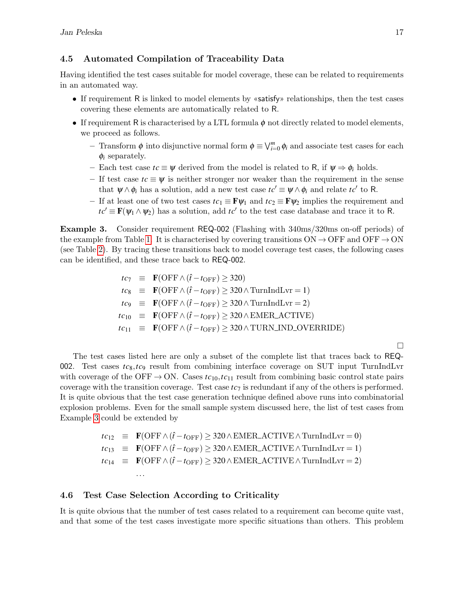### 4.5 Automated Compilation of Traceability Data

Having identified the test cases suitable for model coverage, these can be related to requirements in an automated way.

- If requirement R is linked to model elements by «satisfy» relationships, then the test cases covering these elements are automatically related to R.
- If requirement R is characterised by a LTL formula  $\phi$  not directly related to model elements, we proceed as follows.
	- $−$  Transform  $φ$  into disjunctive normal form  $φ ≡ ∨_{i=0}^{m} φ_i$  and associate test cases for each  $\phi_i$  separately.
	- Each test case *tc* ≡ ψ derived from the model is related to R, if ψ ⇒ φ*<sup>i</sup>* holds.
	- If test case *tc* ≡ ψ is neither stronger nor weaker than the requirement in the sense that  $\psi \wedge \phi_i$  has a solution, add a new test case  $tc' \equiv \psi \wedge \phi_i$  and relate  $tc'$  to R.
	- If at least one of two test cases  $tc_1 \equiv \mathbf{F}\psi_1$  and  $tc_2 \equiv \mathbf{F}\psi_2$  implies the requirement and  $tc' \equiv \mathbf{F}(\psi_1 \wedge \psi_2)$  has a solution, add  $tc'$  to the test case database and trace it to R.

<span id="page-14-0"></span>Example 3. Consider requirement REQ-002 (Flashing with 340ms/320ms on-off periods) of the example from Table [1.](#page-21-0) It is characterised by covering transitions  $ON \rightarrow OFF$  and  $OFF \rightarrow ON$ (see Table [2\)](#page-24-1). By tracing these transitions back to model coverage test cases, the following cases can be identified, and these trace back to REQ-002.

> $tc_7 \equiv \mathbf{F}(\text{OFF} \wedge (\hat{t} - t_{\text{OFF}}) > 320)$  $tc_8 \equiv \mathbf{F}(\text{OFF} \wedge (\hat{t} - t_{\text{OFF}}) \geq 320 \wedge \text{TurnIndLvr} = 1)$  $tc_9 \equiv \mathbf{F}(\text{OFF} \wedge (\hat{t} - t_{\text{OFF}}) \geq 320 \wedge \text{TurnIndLvr} = 2)$  $tc_{10} \equiv \mathbf{F}(\text{OFF} \wedge (\hat{t} - t_{\text{OFF}}) \geq 320 \wedge \text{EMER\_ACTIVE})$  $tc_{11}$   $\equiv$  **F**(OFF  $\land$   $(\hat{t} - t_{OFF}) \geq 320 \land \text{TURN}$  IND\_OVERRIDE)

The test cases listed here are only a subset of the complete list that traces back to REQ-002. Test cases *tc*8,*tc*<sup>9</sup> result from combining interface coverage on SUT input TurnIndLvr with coverage of the OFF  $\rightarrow$  ON. Cases  $tc_{10}$ ,  $tc_{11}$  result from combining basic control state pairs coverage with the transition coverage. Test case  $tc<sub>7</sub>$  is redundant if any of the others is performed. It is quite obvious that the test case generation technique defined above runs into combinatorial explosion problems. Even for the small sample system discussed here, the list of test cases from Example [3](#page-14-0) could be extended by

$$
tc_{12} \equiv \mathbf{F}(\text{OFF} \land (\hat{t} - t_{\text{OFF}}) \geq 320 \land \text{EMER}\_\text{ACTIVE} \land \text{TurnIndLvr} = 0)
$$
  
\n
$$
tc_{13} \equiv \mathbf{F}(\text{OFF} \land (\hat{t} - t_{\text{OFF}}) \geq 320 \land \text{EMER}\_\text{ACTIVE} \land \text{TurnIndLvr} = 1)
$$
  
\n
$$
tc_{14} \equiv \mathbf{F}(\text{OFF} \land (\hat{t} - t_{\text{OFF}}) \geq 320 \land \text{EMER}\_\text{ACTIVE} \land \text{TurnIndLvr} = 2)
$$
  
\n...

#### 4.6 Test Case Selection According to Criticality

It is quite obvious that the number of test cases related to a requirement can become quite vast, and that some of the test cases investigate more specific situations than others. This problem

 $\Box$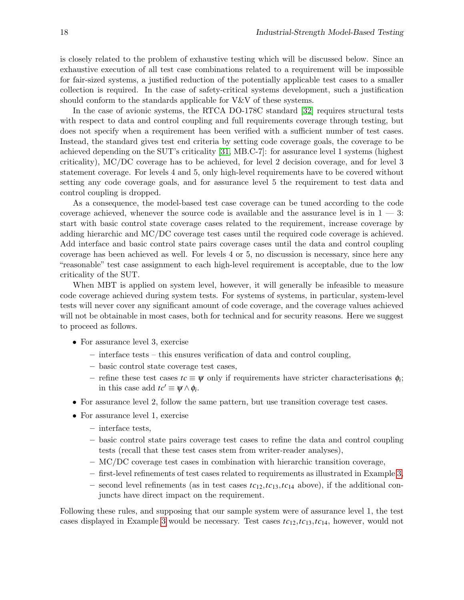is closely related to the problem of exhaustive testing which will be discussed below. Since an exhaustive execution of all test case combinations related to a requirement will be impossible for fair-sized systems, a justified reduction of the potentially applicable test cases to a smaller collection is required. In the case of safety-critical systems development, such a justification should conform to the standards applicable for V&V of these systems.

In the case of avionic systems, the RTCA DO-178C standard [\[32\]](#page-19-12) requires structural tests with respect to data and control coupling and full requirements coverage through testing, but does not specify when a requirement has been verified with a sufficient number of test cases. Instead, the standard gives test end criteria by setting code coverage goals, the coverage to be achieved depending on the SUT's criticality [\[31,](#page-19-13) MB.C-7]: for assurance level 1 systems (highest criticality), MC/DC coverage has to be achieved, for level 2 decision coverage, and for level 3 statement coverage. For levels 4 and 5, only high-level requirements have to be covered without setting any code coverage goals, and for assurance level 5 the requirement to test data and control coupling is dropped.

As a consequence, the model-based test case coverage can be tuned according to the code coverage achieved, whenever the source code is available and the assurance level is in  $1 - 3$ : start with basic control state coverage cases related to the requirement, increase coverage by adding hierarchic and MC/DC coverage test cases until the required code coverage is achieved. Add interface and basic control state pairs coverage cases until the data and control coupling coverage has been achieved as well. For levels 4 or 5, no discussion is necessary, since here any "reasonable" test case assignment to each high-level requirement is acceptable, due to the low criticality of the SUT.

When MBT is applied on system level, however, it will generally be infeasible to measure code coverage achieved during system tests. For systems of systems, in particular, system-level tests will never cover any significant amount of code coverage, and the coverage values achieved will not be obtainable in most cases, both for technical and for security reasons. Here we suggest to proceed as follows.

- For assurance level 3, exercise
	- interface tests this ensures verification of data and control coupling,
	- basic control state coverage test cases,
	- refine these test cases *tc* ≡ ψ only if requirements have stricter characterisations φ*<sup>i</sup>* ; in this case add  $tc' \equiv \psi \wedge \phi_i$ .
- For assurance level 2, follow the same pattern, but use transition coverage test cases.
- For assurance level 1, exercise
	- interface tests,
	- basic control state pairs coverage test cases to refine the data and control coupling tests (recall that these test cases stem from writer-reader analyses),
	- MC/DC coverage test cases in combination with hierarchic transition coverage,
	- first-level refinements of test cases related to requirements as illustrated in Example [3,](#page-14-0)
	- second level refinements (as in test cases *tc*12,*tc*13,*tc*<sup>14</sup> above), if the additional conjuncts have direct impact on the requirement.

Following these rules, and supposing that our sample system were of assurance level 1, the test cases displayed in Example [3](#page-14-0) would be necessary. Test cases *tc*12,*tc*13,*tc*14, however, would not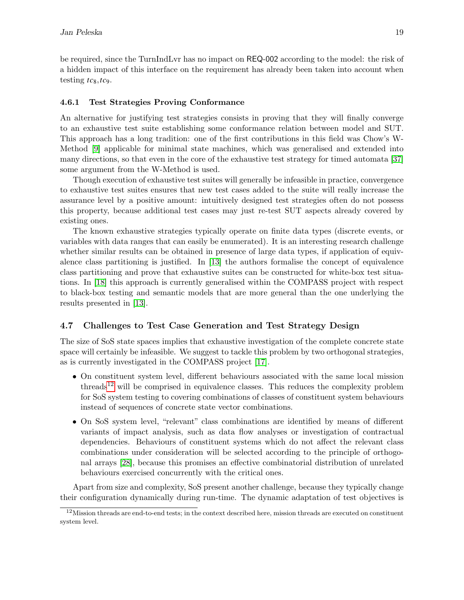be required, since the TurnIndLvr has no impact on REQ-002 according to the model: the risk of a hidden impact of this interface on the requirement has already been taken into account when testing  $tc_8, tc_9$ .

### 4.6.1 Test Strategies Proving Conformance

An alternative for justifying test strategies consists in proving that they will finally converge to an exhaustive test suite establishing some conformance relation between model and SUT. This approach has a long tradition: one of the first contributions in this field was Chow's W-Method [\[9\]](#page-18-5) applicable for minimal state machines, which was generalised and extended into many directions, so that even in the core of the exhaustive test strategy for timed automata [\[37\]](#page-20-6) some argument from the W-Method is used.

Though execution of exhaustive test suites will generally be infeasible in practice, convergence to exhaustive test suites ensures that new test cases added to the suite will really increase the assurance level by a positive amount: intuitively designed test strategies often do not possess this property, because additional test cases may just re-test SUT aspects already covered by existing ones.

The known exhaustive strategies typically operate on finite data types (discrete events, or variables with data ranges that can easily be enumerated). It is an interesting research challenge whether similar results can be obtained in presence of large data types, if application of equivalence class partitioning is justified. In [\[13\]](#page-18-12) the authors formalise the concept of equivalence class partitioning and prove that exhaustive suites can be constructed for white-box test situations. In [\[18\]](#page-19-14) this approach is currently generalised within the COMPASS project with respect to black-box testing and semantic models that are more general than the one underlying the results presented in [\[13\]](#page-18-12).

## 4.7 Challenges to Test Case Generation and Test Strategy Design

The size of SoS state spaces implies that exhaustive investigation of the complete concrete state space will certainly be infeasible. We suggest to tackle this problem by two orthogonal strategies, as is currently investigated in the COMPASS project [\[17\]](#page-19-15).

- On constituent system level, different behaviours associated with the same local mission threads<sup>[12](#page-16-0)</sup> will be comprised in equivalence classes. This reduces the complexity problem for SoS system testing to covering combinations of classes of constituent system behaviours instead of sequences of concrete state vector combinations.
- On SoS system level, "relevant" class combinations are identified by means of different variants of impact analysis, such as data flow analyses or investigation of contractual dependencies. Behaviours of constituent systems which do not affect the relevant class combinations under consideration will be selected according to the principle of orthogonal arrays [\[28\]](#page-19-16), because this promises an effective combinatorial distribution of unrelated behaviours exercised concurrently with the critical ones.

Apart from size and complexity, SoS present another challenge, because they typically change their configuration dynamically during run-time. The dynamic adaptation of test objectives is

<span id="page-16-0"></span> $12$ Mission threads are end-to-end tests; in the context described here, mission threads are executed on constituent system level.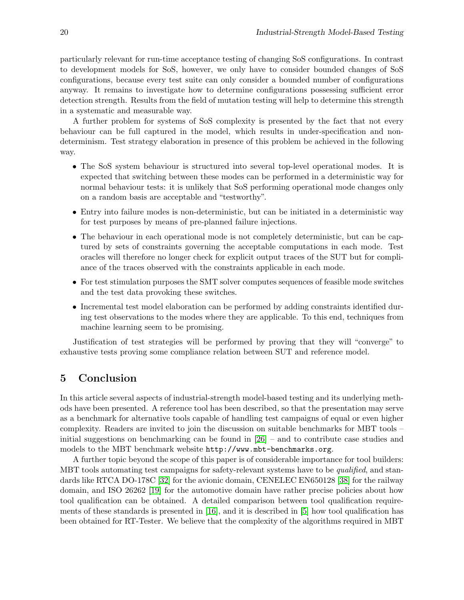particularly relevant for run-time acceptance testing of changing SoS configurations. In contrast to development models for SoS, however, we only have to consider bounded changes of SoS configurations, because every test suite can only consider a bounded number of configurations anyway. It remains to investigate how to determine configurations possessing sufficient error detection strength. Results from the field of mutation testing will help to determine this strength in a systematic and measurable way.

A further problem for systems of SoS complexity is presented by the fact that not every behaviour can be full captured in the model, which results in under-specification and nondeterminism. Test strategy elaboration in presence of this problem be achieved in the following way.

- The SoS system behaviour is structured into several top-level operational modes. It is expected that switching between these modes can be performed in a deterministic way for normal behaviour tests: it is unlikely that SoS performing operational mode changes only on a random basis are acceptable and "testworthy".
- Entry into failure modes is non-deterministic, but can be initiated in a deterministic way for test purposes by means of pre-planned failure injections.
- The behaviour in each operational mode is not completely deterministic, but can be captured by sets of constraints governing the acceptable computations in each mode. Test oracles will therefore no longer check for explicit output traces of the SUT but for compliance of the traces observed with the constraints applicable in each mode.
- For test stimulation purposes the SMT solver computes sequences of feasible mode switches and the test data provoking these switches.
- Incremental test model elaboration can be performed by adding constraints identified during test observations to the modes where they are applicable. To this end, techniques from machine learning seem to be promising.

Justification of test strategies will be performed by proving that they will "converge" to exhaustive tests proving some compliance relation between SUT and reference model.

# <span id="page-17-0"></span>5 Conclusion

In this article several aspects of industrial-strength model-based testing and its underlying methods have been presented. A reference tool has been described, so that the presentation may serve as a benchmark for alternative tools capable of handling test campaigns of equal or even higher complexity. Readers are invited to join the discussion on suitable benchmarks for MBT tools – initial suggestions on benchmarking can be found in  $[26]$  – and to contribute case studies and models to the MBT benchmark website http://www.mbt-benchmarks.org.

A further topic beyond the scope of this paper is of considerable importance for tool builders: MBT tools automating test campaigns for safety-relevant systems have to be qualified, and standards like RTCA DO-178C [\[32\]](#page-19-12) for the avionic domain, CENELEC EN650128 [\[38\]](#page-20-1) for the railway domain, and ISO 26262 [\[19\]](#page-19-17) for the automotive domain have rather precise policies about how tool qualification can be obtained. A detailed comparison between tool qualification requirements of these standards is presented in [\[16\]](#page-19-18), and it is described in [\[5\]](#page-18-13) how tool qualification has been obtained for RT-Tester. We believe that the complexity of the algorithms required in MBT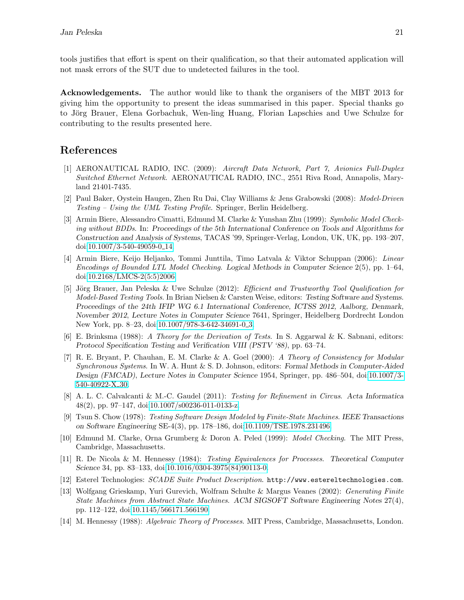tools justifies that effort is spent on their qualification, so that their automated application will not mask errors of the SUT due to undetected failures in the tool.

Acknowledgements. The author would like to thank the organisers of the MBT 2013 for giving him the opportunity to present the ideas summarised in this paper. Special thanks go to Jörg Brauer, Elena Gorbachuk, Wen-ling Huang, Florian Lapschies and Uwe Schulze for contributing to the results presented here.

# References

- <span id="page-18-9"></span>[1] AERONAUTICAL RADIO, INC. (2009): Aircraft Data Network, Part 7, Avionics Full-Duplex Switched Ethernet Network. AERONAUTICAL RADIO, INC., 2551 Riva Road, Annapolis, Maryland 21401-7435.
- <span id="page-18-0"></span>[2] Paul Baker, Oystein Haugen, Zhen Ru Dai, Clay Williams & Jens Grabowski (2008): Model-Driven Testing – Using the UML Testing Profile. Springer, Berlin Heidelberg.
- <span id="page-18-10"></span>[3] Armin Biere, Alessandro Cimatti, Edmund M. Clarke & Yunshan Zhu (1999): Symbolic Model Checking without BDDs. In: Proceedings of the 5th International Conference on Tools and Algorithms for Construction and Analysis of Systems, TACAS '99, Springer-Verlag, London, UK, UK, pp. 193–207, doi[:10.1007/3-540-49059-0](http://dx.doi.org/10.1007/3-540-49059-0_14)\_14.
- <span id="page-18-11"></span>[4] Armin Biere, Keijo Heljanko, Tommi Junttila, Timo Latvala & Viktor Schuppan (2006): Linear Encodings of Bounded LTL Model Checking. Logical Methods in Computer Science 2(5), pp. 1–64, doi[:10.2168/LMCS-2\(5:5\)2006.](http://dx.doi.org/10.2168/LMCS-2(5:5)2006)
- <span id="page-18-13"></span>[5] Jörg Brauer, Jan Peleska & Uwe Schulze (2012): *Efficient and Trustworthy Tool Qualification for* Model-Based Testing Tools. In Brian Nielsen & Carsten Weise, editors: Testing Software and Systems. Proceedings of the 24th IFIP WG 6.1 International Conference, ICTSS 2012, Aalborg, Denmark, November 2012, Lecture Notes in Computer Science 7641, Springer, Heidelberg Dordrecht London New York, pp. 8–23, doi[:10.1007/978-3-642-34691-0](http://dx.doi.org/10.1007/978-3-642-34691-0_3)\_3.
- <span id="page-18-7"></span>[6] E. Brinksma (1988): A Theory for the Derivation of Tests. In S. Aggarwal & K. Sabnani, editors: Protocol Specification Testing and Verification VIII (PSTV '88), pp. 63–74.
- <span id="page-18-4"></span>[7] R. E. Bryant, P. Chauhan, E. M. Clarke & A. Goel (2000): A Theory of Consistency for Modular Synchronous Systems. In W. A. Hunt & S. D. Johnson, editors: Formal Methods in Computer-Aided Design (FMCAD), Lecture Notes in Computer Science 1954, Springer, pp. 486–504, doi[:10.1007/3-](http://dx.doi.org/10.1007/3-540-40922-X_30)  $540\hbox{-} 40922\hbox{-} {\rm X}\hbox{-} 30.$
- <span id="page-18-2"></span>[8] A. L. C. Calvalcanti & M.-C. Gaudel (2011): Testing for Refinement in Circus. Acta Informatica 48(2), pp. 97–147, doi[:10.1007/s00236-011-0133-z.](http://dx.doi.org/10.1007/s00236-011-0133-z)
- <span id="page-18-5"></span>[9] Tsun S. Chow (1978): Testing Software Design Modeled by Finite-State Machines. IEEE Transactions on Software Engineering SE-4(3), pp. 178–186, doi[:10.1109/TSE.1978.231496.](http://dx.doi.org/10.1109/TSE.1978.231496)
- <span id="page-18-3"></span>[10] Edmund M. Clarke, Orna Grumberg & Doron A. Peled (1999): Model Checking. The MIT Press, Cambridge, Massachusetts.
- <span id="page-18-6"></span>[11] R. De Nicola & M. Hennessy (1984): Testing Equivalences for Processes. Theoretical Computer Science 34, pp. 83–133, doi[:10.1016/0304-3975\(84\)90113-0.](http://dx.doi.org/10.1016/0304-3975(84)90113-0)
- <span id="page-18-8"></span>[12] Esterel Technologies: SCADE Suite Product Description. http://www.estereltechnologies.com.
- <span id="page-18-12"></span>[13] Wolfgang Grieskamp, Yuri Gurevich, Wolfram Schulte & Margus Veanes (2002): Generating Finite State Machines from Abstract State Machines. ACM SIGSOFT Software Engineering Notes 27(4), pp. 112–122, doi[:10.1145/566171.566190.](http://dx.doi.org/10.1145/566171.566190)
- <span id="page-18-1"></span>[14] M. Hennessy (1988): Algebraic Theory of Processes. MIT Press, Cambridge, Massachusetts, London.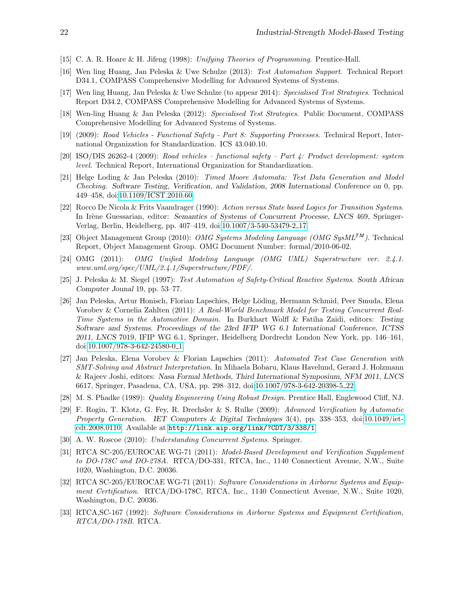- <span id="page-19-7"></span>[15] C. A. R. Hoare & H. Jifeng (1998): Unifying Theories of Programming. Prentice-Hall.
- <span id="page-19-18"></span>[16] Wen ling Huang, Jan Peleska & Uwe Schulze (2013): Test Automation Support. Technical Report D34.1, COMPASS Comprehensive Modelling for Advanced Systems of Systems.
- <span id="page-19-15"></span>[17] Wen ling Huang, Jan Peleska & Uwe Schulze (to appear 2014): Specialised Test Strategies. Technical Report D34.2, COMPASS Comprehensive Modelling for Advanced Systems of Systems.
- <span id="page-19-14"></span>[18] Wen-ling Huang & Jan Peleska (2012): Specialised Test Strategies. Public Document, COMPASS Comprehensive Modelling for Advanced Systems of Systems.
- <span id="page-19-17"></span>[19] (2009): Road Vehicles - Functional Safety - Part 8: Supporting Processes. Technical Report, International Organization for Standardization. ICS 43.040.10.
- <span id="page-19-2"></span>[20] ISO/DIS 26262-4 (2009): Road vehicles – functional safety – Part 4: Product development: system level. Technical Report, International Organization for Standardization.
- <span id="page-19-0"></span>[21] Helge Loding & Jan Peleska (2010): Timed Moore Automata: Test Data Generation and Model Checking. Software Testing, Verification, and Validation, 2008 International Conference on 0, pp. 449–458, doi[:10.1109/ICST.2010.60.](http://dx.doi.org/10.1109/ICST.2010.60)
- <span id="page-19-8"></span>[22] Rocco De Nicola & Frits Vaandrager (1990): Action versus State based Logics for Transition Systems. In Irène Guessarian, editor: Semantics of Systems of Concurrent Processe, LNCS 469, Springer-Verlag, Berlin, Heidelberg, pp. 407–419, doi[:10.1007/3-540-53479-2](http://dx.doi.org/10.1007/3-540-53479-2_17) 17.
- <span id="page-19-4"></span>[23] Object Management Group (2010): OMG Systems Modeling Language (OMG SysML*TM*). Technical Report, Object Management Group. OMG Document Number: formal/2010-06-02.
- <span id="page-19-3"></span>[24] OMG (2011): OMG Unified Modeling Language (OMG UML) Superstructure ver. 2.4.1. www.uml.org/spec/UML/2.4.1/Superstructure/PDF/.
- <span id="page-19-9"></span>[25] J. Peleska & M. Siegel (1997): Test Automation of Safety-Critical Reactive Systems. South African Computer Jounal 19, pp. 53–77.
- <span id="page-19-5"></span>[26] Jan Peleska, Artur Honisch, Florian Lapschies, Helge L¨oding, Hermann Schmid, Peer Smuda, Elena Vorobev & Cornelia Zahlten (2011): A Real-World Benchmark Model for Testing Concurrent Real-Time Systems in the Automotive Domain. In Burkhart Wolff & Fatiha Zaidi, editors: Testing Software and Systems. Proceedings of the 23rd IFIP WG 6.1 International Conference, ICTSS 2011, LNCS 7019, IFIP WG 6.1, Springer, Heidelberg Dordrecht London New York, pp. 146–161, doi[:10.1007/978-3-642-24580-0](http://dx.doi.org/10.1007/978-3-642-24580-0_1)\_1.
- <span id="page-19-10"></span>[27] Jan Peleska, Elena Vorobev & Florian Lapschies (2011): Automated Test Case Generation with SMT-Solving and Abstract Interpretation. In Mihaela Bobaru, Klaus Havelund, Gerard J. Holzmann & Rajeev Joshi, editors: Nasa Formal Methods, Third International Symposium, NFM 2011, LNCS 6617, Springer, Pasadena, CA, USA, pp. 298–312, doi[:10.1007/978-3-642-20398-5](http://dx.doi.org/10.1007/978-3-642-20398-5_22) 22.
- <span id="page-19-16"></span>[28] M. S. Phadke (1989): Quality Engineering Using Robust Design. Prentice Hall, Englewood Cliff, NJ.
- <span id="page-19-11"></span>[29] F. Rogin, T. Klotz, G. Fey, R. Drechsler & S. Rulke (2009): Advanced Verification by Automatic Property Generation. IET Computers & Digital Techniques  $3(4)$ , pp. 338–353, doi[:10.1049/iet](http://dx.doi.org/10.1049/iet-cdt.2008.0110)[cdt.2008.0110.](http://dx.doi.org/10.1049/iet-cdt.2008.0110) Available at <http://link.aip.org/link/?CDT/3/338/1>.
- <span id="page-19-6"></span>[30] A. W. Roscoe (2010): Understanding Concurrent Systems. Springer.
- <span id="page-19-13"></span>[31] RTCA SC-205/EUROCAE WG-71 (2011): Model-Based Development and Verification Supplement to DO-178C and DO-278A. RTCA/DO-331, RTCA, Inc., 1140 Connecticut Avenue, N.W., Suite 1020, Washington, D.C. 20036.
- <span id="page-19-12"></span>[32] RTCA SC-205/EUROCAE WG-71 (2011): Software Considerations in Airborne Systems and Equipment Certification. RTCA/DO-178C, RTCA, Inc., 1140 Connecticut Avenue, N.W., Suite 1020, Washington, D.C. 20036.
- <span id="page-19-1"></span>[33] RTCA,SC-167 (1992): Software Considerations in Airborne Systems and Equipment Certification, RTCA/DO-178B. RTCA.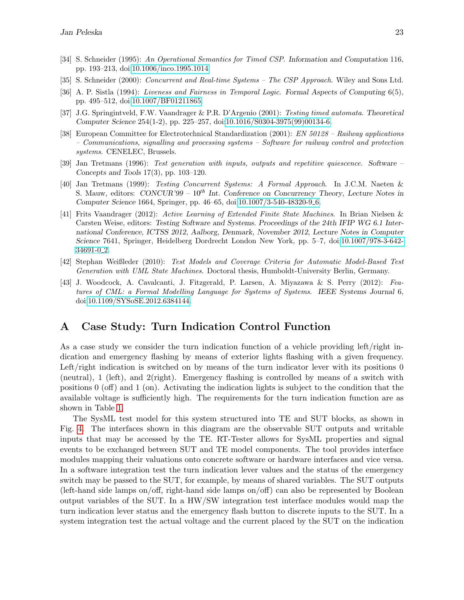- <span id="page-20-7"></span>[34] S. Schneider (1995): An Operational Semantics for Timed CSP. Information and Computation 116, pp. 193–213, doi[:10.1006/inco.1995.1014.](http://dx.doi.org/10.1006/inco.1995.1014)
- <span id="page-20-2"></span>[35] S. Schneider (2000): Concurrent and Real-time Systems – The CSP Approach. Wiley and Sons Ltd.
- <span id="page-20-9"></span>[36] A. P. Sistla (1994): Liveness and Fairness in Temporal Logic. Formal Aspects of Computing 6(5), pp. 495–512, doi[:10.1007/BF01211865.](http://dx.doi.org/10.1007/BF01211865)
- <span id="page-20-6"></span>[37] J.G. Springintveld, F.W. Vaandrager & P.R. D'Argenio (2001): Testing timed automata. Theoretical Computer Science 254(1-2), pp. 225–257, doi[:10.1016/S0304-3975\(99\)00134-6.](http://dx.doi.org/10.1016/S0304-3975(99)00134-6)
- <span id="page-20-1"></span>[38] European Committee for Electrotechnical Standardization (2001): EN 50128 – Railway applications – Communications, signalling and processing systems – Software for railway control and protection systems. CENELEC, Brussels.
- <span id="page-20-4"></span>[39] Jan Tretmans (1996): Test generation with inputs, outputs and repetitive quiescence. Software – Concepts and Tools 17(3), pp. 103–120.
- <span id="page-20-5"></span>[40] Jan Tretmans (1999): Testing Concurrent Systems: A Formal Approach. In J.C.M. Naeten & S. Mauw, editors: CONCUR'99 – 10*th* Int. Conference on Concurrency Theory, Lecture Notes in Computer Science 1664, Springer, pp. 46–65, doi[:10.1007/3-540-48320-9](http://dx.doi.org/10.1007/3-540-48320-9_6)<sub>-6</sub>.
- <span id="page-20-8"></span>[41] Frits Vaandrager (2012): Active Learning of Extended Finite State Machines. In Brian Nielsen & Carsten Weise, editors: Testing Software and Systems. Proceedings of the 24th IFIP WG 6.1 International Conference, ICTSS 2012, Aalborg, Denmark, November 2012, Lecture Notes in Computer Science 7641, Springer, Heidelberg Dordrecht London New York, pp. 5–7, doi[:10.1007/978-3-642-](http://dx.doi.org/10.1007/978-3-642-34691-0_2)  $34691 - 0.2$ .
- <span id="page-20-10"></span>[42] Stephan Weißleder (2010): Test Models and Coverage Criteria for Automatic Model-Based Test Generation with UML State Machines. Doctoral thesis, Humboldt-University Berlin, Germany.
- <span id="page-20-3"></span>[43] J. Woodcock, A. Cavalcanti, J. Fitzgerald, P. Larsen, A. Miyazawa & S. Perry (2012): Features of CML: a Formal Modelling Language for Systems of Systems. IEEE Systems Journal 6, doi[:10.1109/SYSoSE.2012.6384144.](http://dx.doi.org/10.1109/SYSoSE.2012.6384144)

## <span id="page-20-0"></span>A Case Study: Turn Indication Control Function

As a case study we consider the turn indication function of a vehicle providing left/right indication and emergency flashing by means of exterior lights flashing with a given frequency. Left/right indication is switched on by means of the turn indicator lever with its positions 0 (neutral), 1 (left), and 2(right). Emergency flashing is controlled by means of a switch with positions 0 (off) and 1 (on). Activating the indication lights is subject to the condition that the available voltage is sufficiently high. The requirements for the turn indication function are as shown in Table [1.](#page-21-0)

The SysML test model for this system structured into TE and SUT blocks, as shown in Fig. [4.](#page-22-0) The interfaces shown in this diagram are the observable SUT outputs and writable inputs that may be accessed by the TE. RT-Tester allows for SysML properties and signal events to be exchanged between SUT and TE model components. The tool provides interface modules mapping their valuations onto concrete software or hardware interfaces and vice versa. In a software integration test the turn indication lever values and the status of the emergency switch may be passed to the SUT, for example, by means of shared variables. The SUT outputs (left-hand side lamps on/off, right-hand side lamps on/off) can also be represented by Boolean output variables of the SUT. In a HW/SW integration test interface modules would map the turn indication lever status and the emergency flash button to discrete inputs to the SUT. In a system integration test the actual voltage and the current placed by the SUT on the indication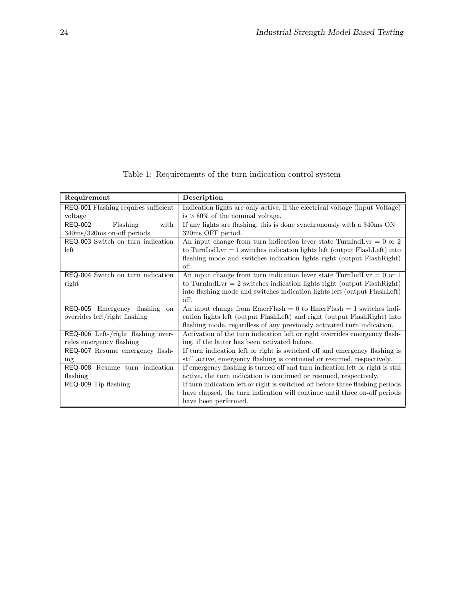| Requirement                             | Description                                                                       |
|-----------------------------------------|-----------------------------------------------------------------------------------|
| REQ-001 Flashing requires sufficient    | Indication lights are only active, if the electrical voltage (input Voltage)      |
| voltage                                 | $\text{is} > 80\%$ of the nominal voltage.                                        |
| Flashing<br><b>REQ-002</b><br>with      | If any lights are flashing, this is done synchronously with a $340\text{ms ON} -$ |
| 340ms/320ms on-off periods              | 320ms OFF period.                                                                 |
| REQ-003 Switch on turn indication       | An input change from turn indication lever state TurnIndLvr = $0$ or $2$          |
| left                                    | to TurnIndLvr $= 1$ switches indication lights left (output FlashLeft) into       |
|                                         | flashing mode and switches indication lights right (output FlashRight)            |
|                                         | off.                                                                              |
| REQ-004 Switch on turn indication       | An input change from turn indication lever state TurnIndLvr = $0$ or $1$          |
| right                                   | to TurnIndLvr = $2$ switches indication lights right (output FlashRight)          |
|                                         | into flashing mode and switches indication lights left (output FlashLeft)         |
|                                         | off.                                                                              |
| <b>REQ-005</b><br>Emergency flashing on | An input change from EmerFlash = $0$ to EmerFlash = $1$ switches indi-            |
| overrides left/right flashing           | cation lights left (output FlashLeft) and right (output FlashRight) into          |
|                                         | flashing mode, regardless of any previously activated turn indication.            |
| REQ-006 Left-/right flashing over-      | Activation of the turn indication left or right overrides emergency flash-        |
| rides emergency flashing                | ing, if the latter has been activated before.                                     |
| REQ-007 Resume emergency flash-         | If turn indication left or right is switched off and emergency flashing is        |
| ing                                     | still active, emergency flashing is continued or resumed, respectively.           |
| REQ-008 Resume turn indication          | If emergency flashing is turned off and turn indication left or right is still    |
| flashing                                | active, the turn indication is continued or resumed, respectively.                |
| REQ-009 Tip flashing                    | If turn indication left or right is switched off before three flashing periods    |
|                                         | have elapsed, the turn indication will continue until three on-off periods        |
|                                         | have been performed.                                                              |

<span id="page-21-0"></span>Table 1: Requirements of the turn indication control system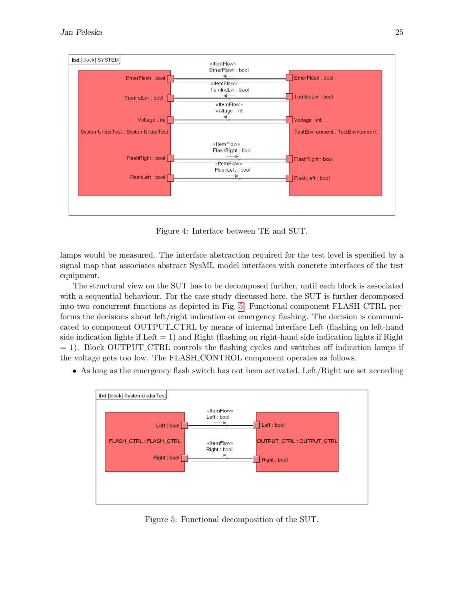

<span id="page-22-0"></span>Figure 4: Interface between TE and SUT.

lamps would be measured. The interface abstraction required for the test level is specified by a signal map that associates abstract SysML model interfaces with concrete interfaces of the test equipment.

The structural view on the SUT has to be decomposed further, until each block is associated with a sequential behaviour. For the case study discussed here, the SUT is further decomposed into two concurrent functions as depicted in Fig. [5.](#page-22-1) Functional component FLASH CTRL performs the decisions about left/right indication or emergency flashing. The decision is communicated to component OUTPUT CTRL by means of internal interface Left (flashing on left-hand side indication lights if Left  $= 1$ ) and Right (flashing on right-hand side indication lights if Right  $= 1$ ). Block OUTPUT\_CTRL controls the flashing cycles and switches off indication lamps if the voltage gets too low. The FLASH CONTROL component operates as follows.

• As long as the emergency flash switch has not been activated, Left/Right are set according



<span id="page-22-1"></span>Figure 5: Functional decomposition of the SUT.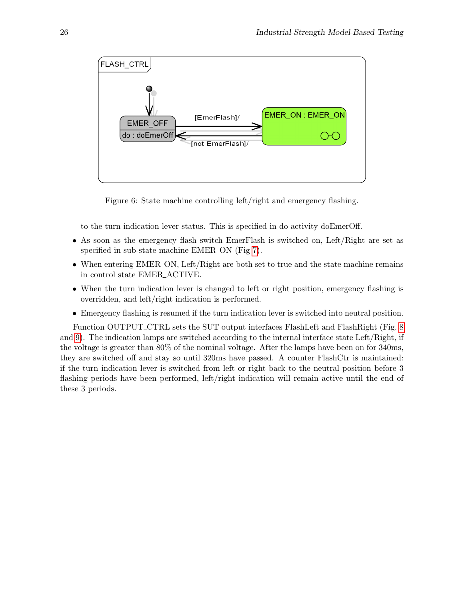

<span id="page-23-0"></span>Figure 6: State machine controlling left/right and emergency flashing.

to the turn indication lever status. This is specified in do activity doEmerOff.

- As soon as the emergency flash switch EmerFlash is switched on, Left/Right are set as specified in sub-state machine EMER<sub>-ON</sub> (Fig [7\)](#page-24-0).
- When entering EMER<sub>-ON</sub>, Left/Right are both set to true and the state machine remains in control state EMER ACTIVE.
- When the turn indication lever is changed to left or right position, emergency flashing is overridden, and left/right indication is performed.
- Emergency flashing is resumed if the turn indication lever is switched into neutral position.

Function OUTPUT\_CTRL sets the SUT output interfaces FlashLeft and FlashRight (Fig. [8](#page-25-1)) and [9\)](#page-25-2). The indication lamps are switched according to the internal interface state Left/Right, if the voltage is greater than 80% of the nominal voltage. After the lamps have been on for 340ms, they are switched off and stay so until 320ms have passed. A counter FlashCtr is maintained: if the turn indication lever is switched from left or right back to the neutral position before 3 flashing periods have been performed, left/right indication will remain active until the end of these 3 periods.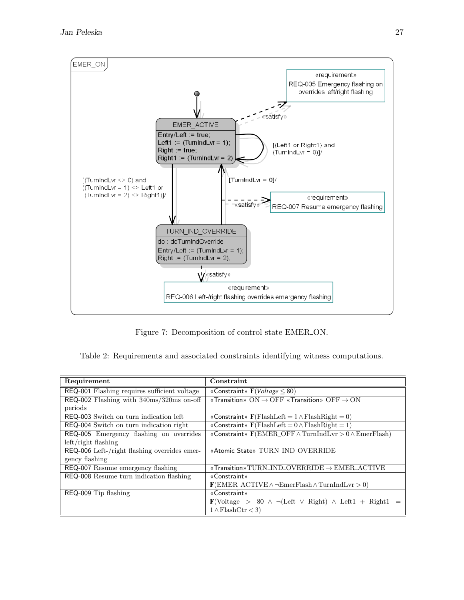

<span id="page-24-1"></span><span id="page-24-0"></span>Figure 7: Decomposition of control state EMER ON.

Table 2: Requirements and associated constraints identifying witness computations.

| Requirement                                                  | Constraint                                                                                                    |
|--------------------------------------------------------------|---------------------------------------------------------------------------------------------------------------|
| REQ-001 Flashing requires sufficient voltage                 | «Constraint» $F(Voltage \leq 80)$                                                                             |
| $REQ-002$ Flashing with $340 \text{ms}/320 \text{ms}$ on-off | «Transition» $ON \rightarrow OFF$ «Transition» $OFF \rightarrow ON$                                           |
| periods                                                      |                                                                                                               |
| REQ-003 Switch on turn indication left                       | «Constraint» $\mathbf{F}(\text{FlashLeft} = 1 \land \text{FlashRight} = 0)$                                   |
| REQ-004 Switch on turn indication right                      | «Constraint» $\mathbf{F}(\text{FlashLeft} = 0 \land \text{FlashRight} = 1)$                                   |
| REQ-005 Emergency flashing on overrides                      | «Constraint» $\mathbf{F}(\text{EMER\_OFF} \wedge \text{TurnIndLvr} > 0 \wedge \text{EmerFlash})$              |
| $left/$ right flashing                                       |                                                                                                               |
| REQ-006 Left-/right flashing overrides emer-                 | «Atomic State» TURN_IND_OVERRIDE                                                                              |
| gency flashing                                               |                                                                                                               |
| REQ-007 Resume emergency flashing                            | «Transition» $TURN\_IND\_OVERRIDE \rightarrow EMER\_ACTIVE$                                                   |
| REQ-008 Resume turn indication flashing                      | «Constraint»                                                                                                  |
|                                                              | $\mathbf{F}(\text{EMER}\_\text{ACTIVE}\land\neg\text{EmerFlash}\land\text{TurnIndLvr}>0)$                     |
| REQ-009 Tip flashing                                         | «Constraint»                                                                                                  |
|                                                              | $\mathbf{F}(\text{Voltage} > 80 \land \neg(\text{Left} \lor \text{Right}) \land \text{Left1} + \text{Right1}$ |
|                                                              | $1 \wedge \text{Flash}(\text{tr} < 3)$                                                                        |